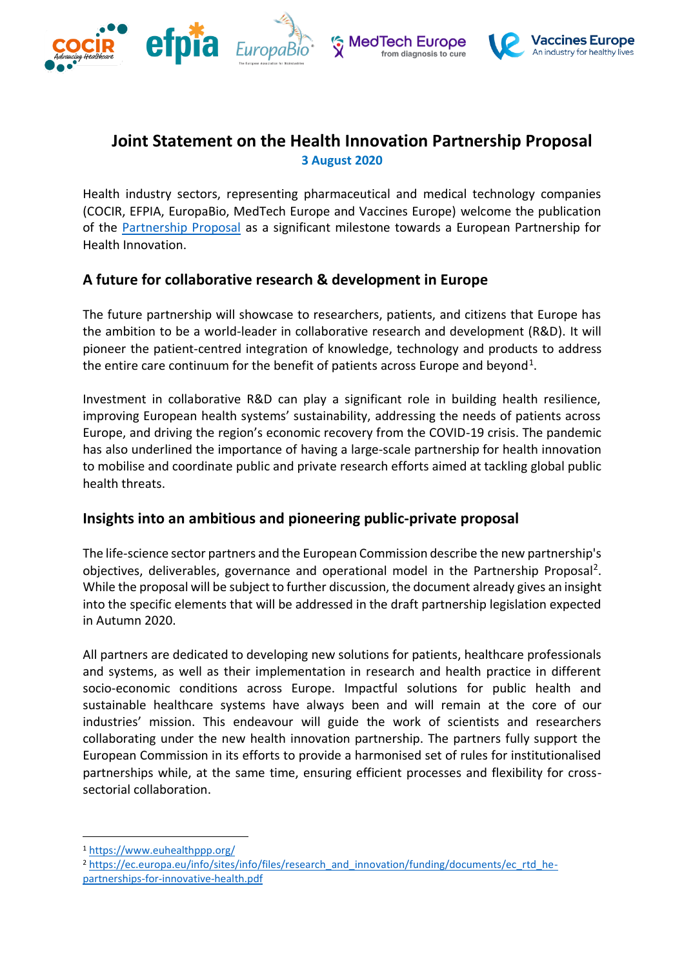





## **Joint Statement on the Health Innovation Partnership Proposal 3 August 2020**

Health industry sectors, representing pharmaceutical and medical technology companies (COCIR, EFPIA, EuropaBio, MedTech Europe and Vaccines Europe) welcome the publication of the [Partnership Proposal](https://ec.europa.eu/info/sites/info/files/research_and_innovation/funding/documents/ec_rtd_he-partnerships-for-innovative-health.pdf) as a significant milestone towards a European Partnership for Health Innovation.

## **A future for collaborative research & development in Europe**

The future partnership will showcase to researchers, patients, and citizens that Europe has the ambition to be a world-leader in collaborative research and development (R&D). It will pioneer the patient-centred integration of knowledge, technology and products to address the entire care continuum for the benefit of patients across Europe and beyond<sup>1</sup>.

Investment in collaborative R&D can play a significant role in building health resilience, improving European health systems' sustainability, addressing the needs of patients across Europe, and driving the region's economic recovery from the COVID-19 crisis. The pandemic has also underlined the importance of having a large-scale partnership for health innovation to mobilise and coordinate public and private research efforts aimed at tackling global public health threats.

## **Insights into an ambitious and pioneering public-private proposal**

The life-science sector partners and the European Commission describe the new partnership's objectives, deliverables, governance and operational model in the Partnership Proposal<sup>2</sup>. While the proposal will be subject to further discussion, the document already gives an insight into the specific elements that will be addressed in the draft partnership legislation expected in Autumn 2020.

All partners are dedicated to developing new solutions for patients, healthcare professionals and systems, as well as their implementation in research and health practice in different socio-economic conditions across Europe. Impactful solutions for public health and sustainable healthcare systems have always been and will remain at the core of our industries' mission. This endeavour will guide the work of scientists and researchers collaborating under the new health innovation partnership. The partners fully support the European Commission in its efforts to provide a harmonised set of rules for institutionalised partnerships while, at the same time, ensuring efficient processes and flexibility for crosssectorial collaboration.

<sup>1</sup> <https://www.euhealthppp.org/>

<sup>&</sup>lt;sup>2</sup> [https://ec.europa.eu/info/sites/info/files/research\\_and\\_innovation/funding/documents/ec\\_rtd\\_he](https://ec.europa.eu/info/sites/info/files/research_and_innovation/funding/documents/ec_rtd_he-partnerships-for-innovative-health.pdf)[partnerships-for-innovative-health.pdf](https://ec.europa.eu/info/sites/info/files/research_and_innovation/funding/documents/ec_rtd_he-partnerships-for-innovative-health.pdf)